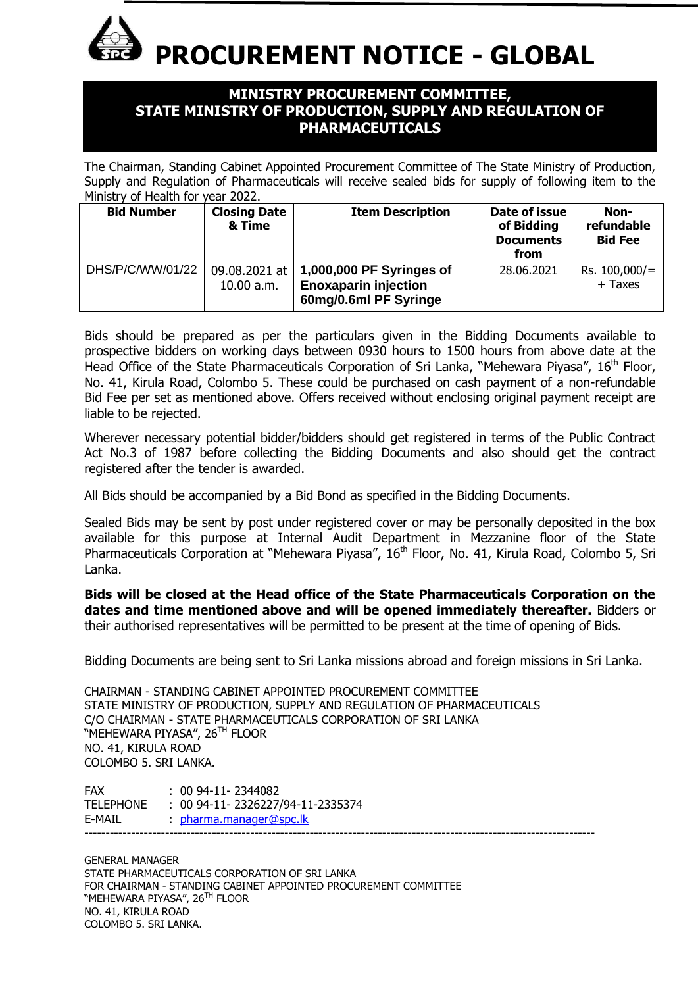

**PROCUREMENT NOTICE - GLOBAL**

# **MINISTRY PROCUREMENT COMMITTEE, STATE MINISTRY OF PRODUCTION, SUPPLY AND REGULATION OF PHARMACEUTICALS**

The Chairman, Standing Cabinet Appointed Procurement Committee of The State Ministry of Production, Supply and Regulation of Pharmaceuticals will receive sealed bids for supply of following item to the Ministry of Health for year 2022.

| <b>Bid Number</b> | <b>Closing Date</b><br>& Time | <b>Item Description</b>                                                          | Date of issue<br>of Bidding<br><b>Documents</b><br>from | Non-<br>refundable<br><b>Bid Fee</b> |
|-------------------|-------------------------------|----------------------------------------------------------------------------------|---------------------------------------------------------|--------------------------------------|
| DHS/P/C/WW/01/22  | 09.08.2021 at  <br>10.00 a.m. | 1,000,000 PF Syringes of<br><b>Enoxaparin injection</b><br>60mg/0.6ml PF Syringe | 28.06.2021                                              | $Rs. 100,000/=$<br>+ Taxes           |

Bids should be prepared as per the particulars given in the Bidding Documents available to prospective bidders on working days between 0930 hours to 1500 hours from above date at the Head Office of the State Pharmaceuticals Corporation of Sri Lanka, "Mehewara Piyasa", 16<sup>th</sup> Floor, No. 41, Kirula Road, Colombo 5. These could be purchased on cash payment of a non-refundable Bid Fee per set as mentioned above. Offers received without enclosing original payment receipt are liable to be rejected.

Wherever necessary potential bidder/bidders should get registered in terms of the Public Contract Act No.3 of 1987 before collecting the Bidding Documents and also should get the contract registered after the tender is awarded.

All Bids should be accompanied by a Bid Bond as specified in the Bidding Documents.

Sealed Bids may be sent by post under registered cover or may be personally deposited in the box available for this purpose at Internal Audit Department in Mezzanine floor of the State Pharmaceuticals Corporation at "Mehewara Piyasa", 16th Floor, No. 41, Kirula Road, Colombo 5, Sri Lanka.

**Bids will be closed at the Head office of the State Pharmaceuticals Corporation on the dates and time mentioned above and will be opened immediately thereafter.** Bidders or their authorised representatives will be permitted to be present at the time of opening of Bids.

Bidding Documents are being sent to Sri Lanka missions abroad and foreign missions in Sri Lanka.

CHAIRMAN - STANDING CABINET APPOINTED PROCUREMENT COMMITTEE STATE MINISTRY OF PRODUCTION, SUPPLY AND REGULATION OF PHARMACEUTICALS C/O CHAIRMAN - STATE PHARMACEUTICALS CORPORATION OF SRI LANKA "MEHEWARA PIYASA", 26<sup>th</sup> Floor NO. 41, KIRULA ROAD COLOMBO 5. SRI LANKA.

| <b>FAX</b> | $: 0094-11-2344082$                 |
|------------|-------------------------------------|
| TELEPHONE  | $: 0094-11 - 2326227/94-11-2335374$ |
| E-MAIL     | pharma.manager@spc.lk               |
|            |                                     |

GENERAL MANAGER STATE PHARMACEUTICALS CORPORATION OF SRI LANKA FOR CHAIRMAN - STANDING CABINET APPOINTED PROCUREMENT COMMITTEE "MEHEWARA PIYASA", 26<sup>th</sup> Floor NO. 41, KIRULA ROAD COLOMBO 5. SRI LANKA.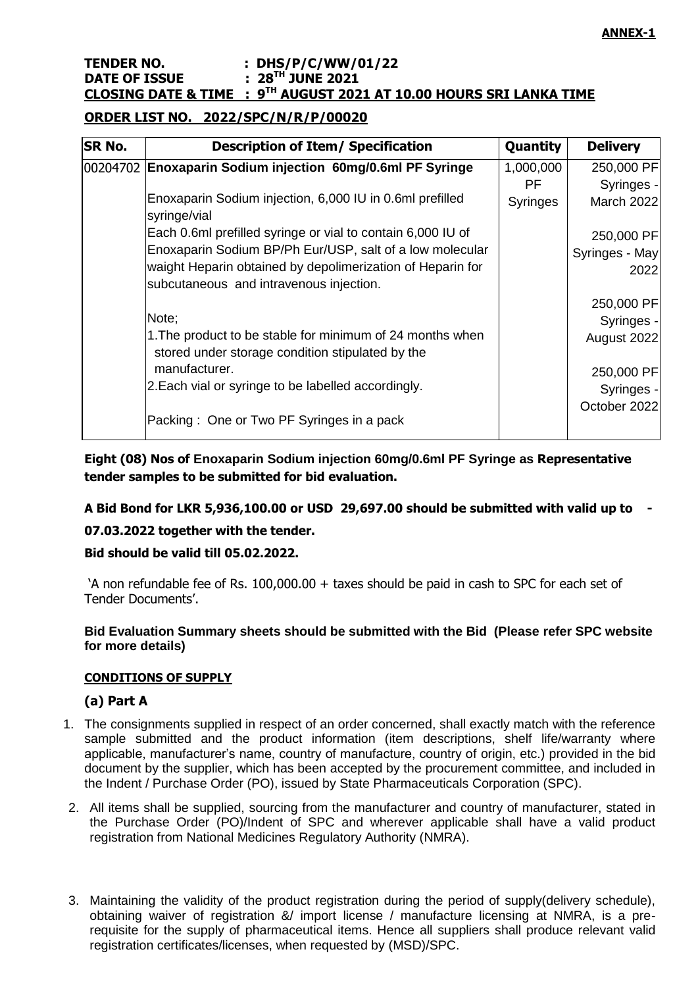### **TENDER NO. : DHS/P/C/WW/01/22 DATE OF ISSUE : 28TH JUNE 2021 CLOSING DATE & TIME : 9 TH AUGUST 2021 AT 10.00 HOURS SRI LANKA TIME**

## **ORDER LIST NO. 2022/SPC/N/R/P/00020**

| <b>SR No.</b> | <b>Description of Item/ Specification</b>                                                                     | Quantity  | <b>Delivery</b> |
|---------------|---------------------------------------------------------------------------------------------------------------|-----------|-----------------|
|               | 00204702 Enoxaparin Sodium injection 60mg/0.6ml PF Syringe                                                    | 1,000,000 | 250,000 PF      |
|               |                                                                                                               | PF.       | Syringes -      |
|               | Enoxaparin Sodium injection, 6,000 IU in 0.6ml prefilled<br>syringe/vial                                      | Syringes  | March 2022      |
|               | Each 0.6ml prefilled syringe or vial to contain 6,000 IU of                                                   |           | 250,000 PF      |
|               | Enoxaparin Sodium BP/Ph Eur/USP, salt of a low molecular                                                      |           | Syringes - May  |
|               | waight Heparin obtained by depolimerization of Heparin for                                                    |           | 2022            |
|               | subcutaneous and intravenous injection.                                                                       |           |                 |
|               |                                                                                                               |           | 250,000 PF      |
|               | Note;                                                                                                         |           | Syringes -      |
|               | 1. The product to be stable for minimum of 24 months when<br>stored under storage condition stipulated by the |           | August 2022     |
|               | manufacturer.                                                                                                 |           | 250,000 PF      |
|               | 2. Each vial or syringe to be labelled accordingly.                                                           |           | Syringes -      |
|               | Packing: One or Two PF Syringes in a pack                                                                     |           | October 2022    |

**Eight (08) Nos of Enoxaparin Sodium injection 60mg/0.6ml PF Syringe as Representative tender samples to be submitted for bid evaluation.**

**A Bid Bond for LKR 5,936,100.00 or USD 29,697.00 should be submitted with valid up to -**

### **07.03.2022 together with the tender.**

## **Bid should be valid till 05.02.2022.**

"A non refundable fee of Rs. 100,000.00 + taxes should be paid in cash to SPC for each set of Tender Documents".

### **Bid Evaluation Summary sheets should be submitted with the Bid (Please refer SPC website for more details)**

### **CONDITIONS OF SUPPLY**

## **(a) Part A**

- 1. The consignments supplied in respect of an order concerned, shall exactly match with the reference sample submitted and the product information (item descriptions, shelf life/warranty where applicable, manufacturer's name, country of manufacture, country of origin, etc.) provided in the bid document by the supplier, which has been accepted by the procurement committee, and included in the Indent / Purchase Order (PO), issued by State Pharmaceuticals Corporation (SPC).
- 2. All items shall be supplied, sourcing from the manufacturer and country of manufacturer, stated in the Purchase Order (PO)/Indent of SPC and wherever applicable shall have a valid product registration from National Medicines Regulatory Authority (NMRA).
- 3. Maintaining the validity of the product registration during the period of supply(delivery schedule), obtaining waiver of registration &/ import license / manufacture licensing at NMRA, is a prerequisite for the supply of pharmaceutical items. Hence all suppliers shall produce relevant valid registration certificates/licenses, when requested by (MSD)/SPC.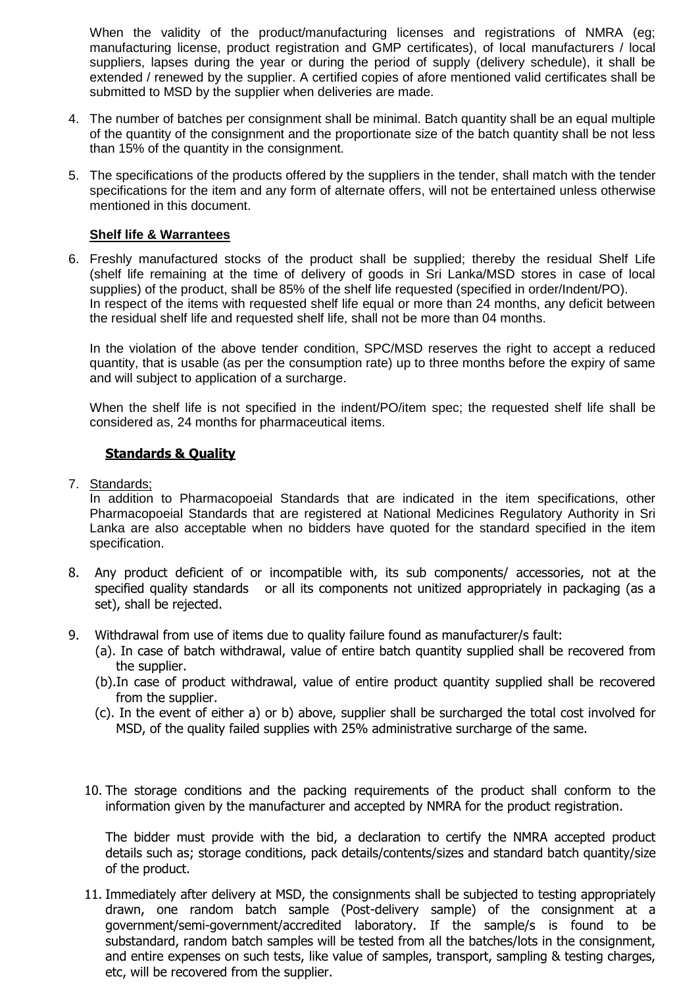When the validity of the product/manufacturing licenses and registrations of NMRA (eg: manufacturing license, product registration and GMP certificates), of local manufacturers / local suppliers, lapses during the year or during the period of supply (delivery schedule), it shall be extended / renewed by the supplier. A certified copies of afore mentioned valid certificates shall be submitted to MSD by the supplier when deliveries are made.

- 4. The number of batches per consignment shall be minimal. Batch quantity shall be an equal multiple of the quantity of the consignment and the proportionate size of the batch quantity shall be not less than 15% of the quantity in the consignment.
- 5. The specifications of the products offered by the suppliers in the tender, shall match with the tender specifications for the item and any form of alternate offers, will not be entertained unless otherwise mentioned in this document.

### **Shelf life & Warrantees**

6. Freshly manufactured stocks of the product shall be supplied; thereby the residual Shelf Life (shelf life remaining at the time of delivery of goods in Sri Lanka/MSD stores in case of local supplies) of the product, shall be 85% of the shelf life requested (specified in order/Indent/PO). In respect of the items with requested shelf life equal or more than 24 months, any deficit between the residual shelf life and requested shelf life, shall not be more than 04 months.

In the violation of the above tender condition, SPC/MSD reserves the right to accept a reduced quantity, that is usable (as per the consumption rate) up to three months before the expiry of same and will subject to application of a surcharge.

When the shelf life is not specified in the indent/PO/item spec; the requested shelf life shall be considered as, 24 months for pharmaceutical items.

### **Standards & Quality**

7. Standards;

In addition to Pharmacopoeial Standards that are indicated in the item specifications, other Pharmacopoeial Standards that are registered at National Medicines Regulatory Authority in Sri Lanka are also acceptable when no bidders have quoted for the standard specified in the item specification.

- 8. Any product deficient of or incompatible with, its sub components/ accessories, not at the specified quality standards or all its components not unitized appropriately in packaging (as a set), shall be rejected.
- 9. Withdrawal from use of items due to quality failure found as manufacturer/s fault:
	- (a). In case of batch withdrawal, value of entire batch quantity supplied shall be recovered from the supplier.
	- (b).In case of product withdrawal, value of entire product quantity supplied shall be recovered from the supplier.
	- (c). In the event of either a) or b) above, supplier shall be surcharged the total cost involved for MSD, of the quality failed supplies with 25% administrative surcharge of the same.
	- 10. The storage conditions and the packing requirements of the product shall conform to the information given by the manufacturer and accepted by NMRA for the product registration.

The bidder must provide with the bid, a declaration to certify the NMRA accepted product details such as; storage conditions, pack details/contents/sizes and standard batch quantity/size of the product.

11. Immediately after delivery at MSD, the consignments shall be subjected to testing appropriately drawn, one random batch sample (Post-delivery sample) of the consignment at a government/semi-government/accredited laboratory. If the sample/s is found to be substandard, random batch samples will be tested from all the batches/lots in the consignment, and entire expenses on such tests, like value of samples, transport, sampling & testing charges, etc, will be recovered from the supplier.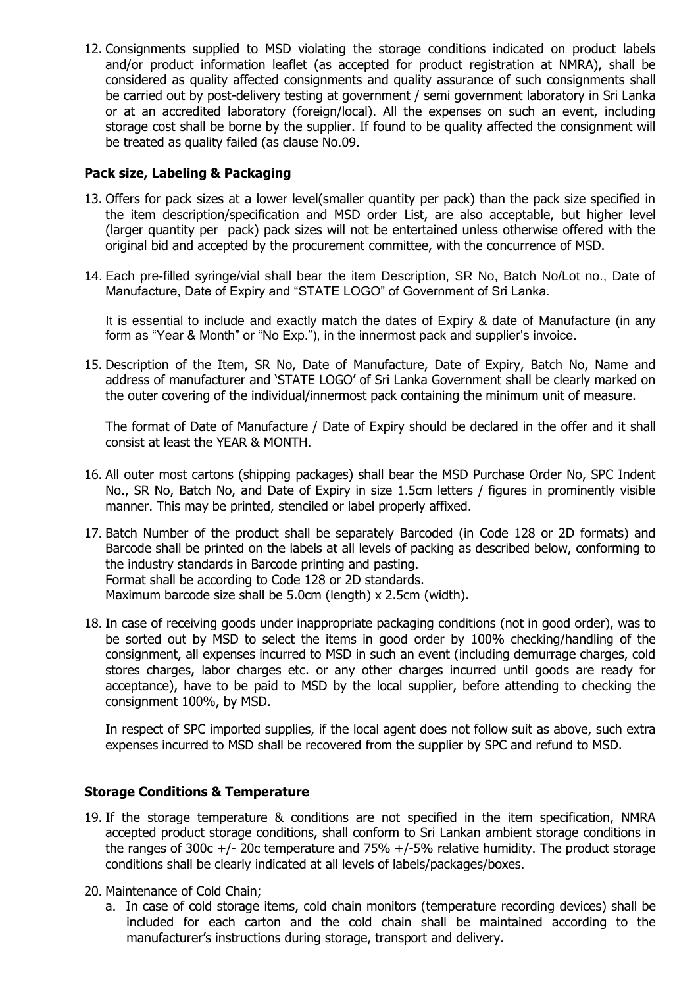12. Consignments supplied to MSD violating the storage conditions indicated on product labels and/or product information leaflet (as accepted for product registration at NMRA), shall be considered as quality affected consignments and quality assurance of such consignments shall be carried out by post-delivery testing at government / semi government laboratory in Sri Lanka or at an accredited laboratory (foreign/local). All the expenses on such an event, including storage cost shall be borne by the supplier. If found to be quality affected the consignment will be treated as quality failed (as clause No.09.

## **Pack size, Labeling & Packaging**

- 13. Offers for pack sizes at a lower level(smaller quantity per pack) than the pack size specified in the item description/specification and MSD order List, are also acceptable, but higher level (larger quantity per pack) pack sizes will not be entertained unless otherwise offered with the original bid and accepted by the procurement committee, with the concurrence of MSD.
- 14. Each pre-filled syringe/vial shall bear the item Description, SR No, Batch No/Lot no., Date of Manufacture, Date of Expiry and "STATE LOGO" of Government of Sri Lanka.

It is essential to include and exactly match the dates of Expiry & date of Manufacture (in any form as "Year & Month" or "No Exp."), in the innermost pack and supplier's invoice.

15. Description of the Item, SR No, Date of Manufacture, Date of Expiry, Batch No, Name and address of manufacturer and "STATE LOGO" of Sri Lanka Government shall be clearly marked on the outer covering of the individual/innermost pack containing the minimum unit of measure.

The format of Date of Manufacture / Date of Expiry should be declared in the offer and it shall consist at least the YEAR & MONTH.

- 16. All outer most cartons (shipping packages) shall bear the MSD Purchase Order No, SPC Indent No., SR No, Batch No, and Date of Expiry in size 1.5cm letters / figures in prominently visible manner. This may be printed, stenciled or label properly affixed.
- 17. Batch Number of the product shall be separately Barcoded (in Code 128 or 2D formats) and Barcode shall be printed on the labels at all levels of packing as described below, conforming to the industry standards in Barcode printing and pasting. Format shall be according to Code 128 or 2D standards. Maximum barcode size shall be 5.0cm (length) x 2.5cm (width).
- 18. In case of receiving goods under inappropriate packaging conditions (not in good order), was to be sorted out by MSD to select the items in good order by 100% checking/handling of the consignment, all expenses incurred to MSD in such an event (including demurrage charges, cold stores charges, labor charges etc. or any other charges incurred until goods are ready for acceptance), have to be paid to MSD by the local supplier, before attending to checking the consignment 100%, by MSD.

In respect of SPC imported supplies, if the local agent does not follow suit as above, such extra expenses incurred to MSD shall be recovered from the supplier by SPC and refund to MSD.

### **Storage Conditions & Temperature**

- 19. If the storage temperature & conditions are not specified in the item specification, NMRA accepted product storage conditions, shall conform to Sri Lankan ambient storage conditions in the ranges of 300c  $+/-$  20c temperature and 75%  $+/-$ 5% relative humidity. The product storage conditions shall be clearly indicated at all levels of labels/packages/boxes.
- 20. Maintenance of Cold Chain;
	- a. In case of cold storage items, cold chain monitors (temperature recording devices) shall be included for each carton and the cold chain shall be maintained according to the manufacturer's instructions during storage, transport and delivery.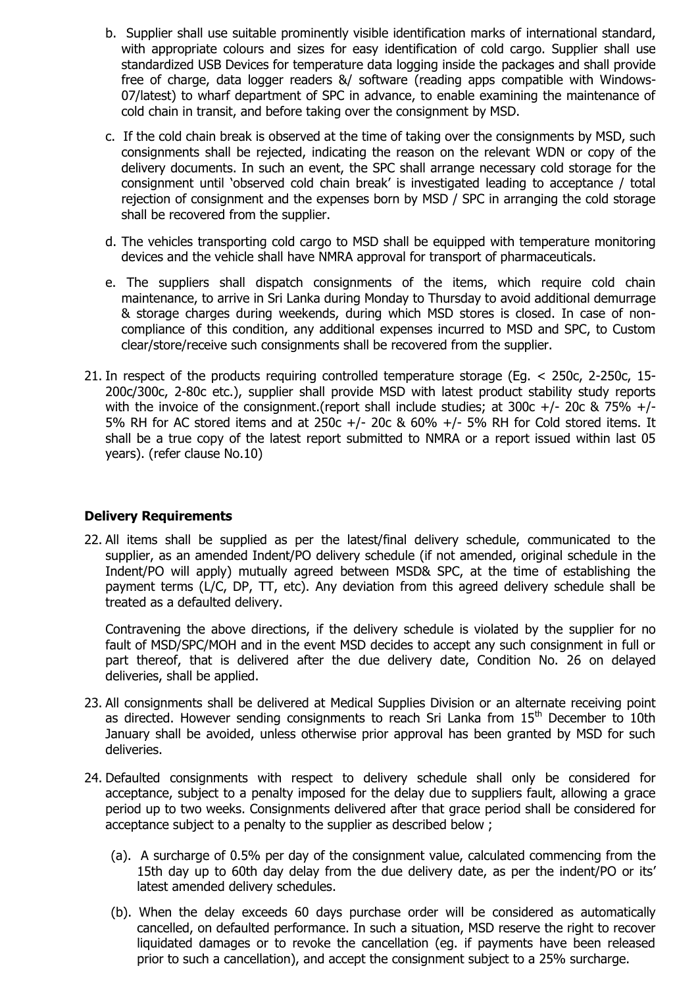- b. Supplier shall use suitable prominently visible identification marks of international standard, with appropriate colours and sizes for easy identification of cold cargo. Supplier shall use standardized USB Devices for temperature data logging inside the packages and shall provide free of charge, data logger readers &/ software (reading apps compatible with Windows-07/latest) to wharf department of SPC in advance, to enable examining the maintenance of cold chain in transit, and before taking over the consignment by MSD.
- c. If the cold chain break is observed at the time of taking over the consignments by MSD, such consignments shall be rejected, indicating the reason on the relevant WDN or copy of the delivery documents. In such an event, the SPC shall arrange necessary cold storage for the consignment until "observed cold chain break" is investigated leading to acceptance / total rejection of consignment and the expenses born by MSD / SPC in arranging the cold storage shall be recovered from the supplier.
- d. The vehicles transporting cold cargo to MSD shall be equipped with temperature monitoring devices and the vehicle shall have NMRA approval for transport of pharmaceuticals.
- e. The suppliers shall dispatch consignments of the items, which require cold chain maintenance, to arrive in Sri Lanka during Monday to Thursday to avoid additional demurrage & storage charges during weekends, during which MSD stores is closed. In case of noncompliance of this condition, any additional expenses incurred to MSD and SPC, to Custom clear/store/receive such consignments shall be recovered from the supplier.
- 21. In respect of the products requiring controlled temperature storage (Eg. < 250c, 2-250c, 15- 200c/300c, 2-80c etc.), supplier shall provide MSD with latest product stability study reports with the invoice of the consignment.(report shall include studies; at 300c +/- 20c &  $75\%$  +/-5% RH for AC stored items and at 250c +/- 20c & 60% +/- 5% RH for Cold stored items. It shall be a true copy of the latest report submitted to NMRA or a report issued within last 05 years). (refer clause No.10)

### **Delivery Requirements**

22. All items shall be supplied as per the latest/final delivery schedule, communicated to the supplier, as an amended Indent/PO delivery schedule (if not amended, original schedule in the Indent/PO will apply) mutually agreed between MSD& SPC, at the time of establishing the payment terms (L/C, DP, TT, etc). Any deviation from this agreed delivery schedule shall be treated as a defaulted delivery.

Contravening the above directions, if the delivery schedule is violated by the supplier for no fault of MSD/SPC/MOH and in the event MSD decides to accept any such consignment in full or part thereof, that is delivered after the due delivery date, Condition No. 26 on delayed deliveries, shall be applied.

- 23. All consignments shall be delivered at Medical Supplies Division or an alternate receiving point as directed. However sending consignments to reach Sri Lanka from 15<sup>th</sup> December to 10th January shall be avoided, unless otherwise prior approval has been granted by MSD for such deliveries.
- 24. Defaulted consignments with respect to delivery schedule shall only be considered for acceptance, subject to a penalty imposed for the delay due to suppliers fault, allowing a grace period up to two weeks. Consignments delivered after that grace period shall be considered for acceptance subject to a penalty to the supplier as described below ;
	- (a). A surcharge of 0.5% per day of the consignment value, calculated commencing from the 15th day up to 60th day delay from the due delivery date, as per the indent/PO or its" latest amended delivery schedules.
	- (b). When the delay exceeds 60 days purchase order will be considered as automatically cancelled, on defaulted performance. In such a situation, MSD reserve the right to recover liquidated damages or to revoke the cancellation (eg. if payments have been released prior to such a cancellation), and accept the consignment subject to a 25% surcharge.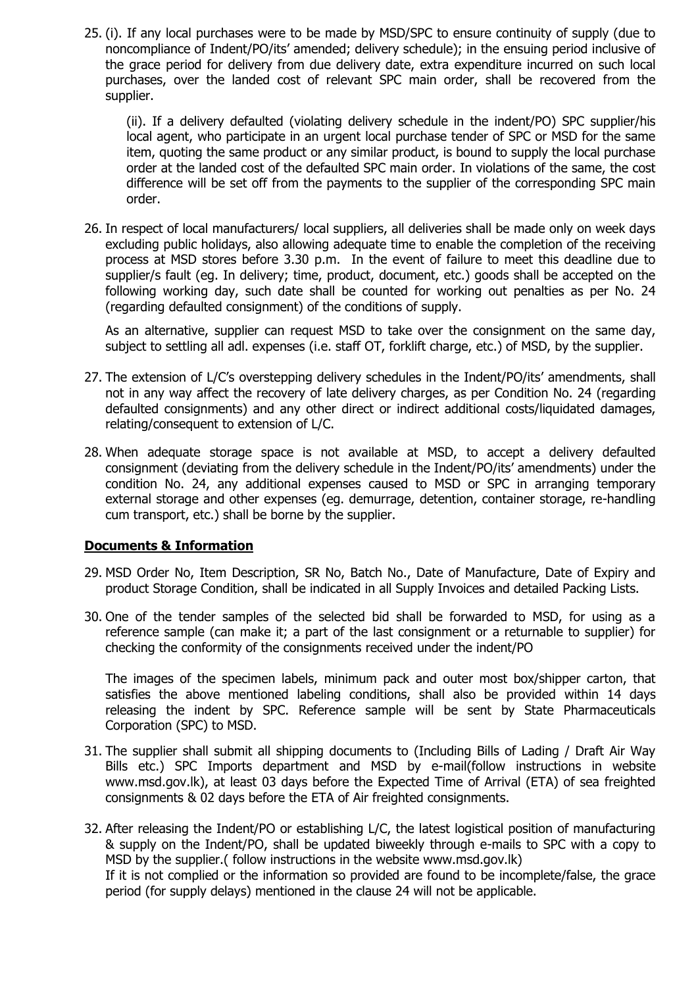25. (i). If any local purchases were to be made by MSD/SPC to ensure continuity of supply (due to noncompliance of Indent/PO/its" amended; delivery schedule); in the ensuing period inclusive of the grace period for delivery from due delivery date, extra expenditure incurred on such local purchases, over the landed cost of relevant SPC main order, shall be recovered from the supplier.

(ii). If a delivery defaulted (violating delivery schedule in the indent/PO) SPC supplier/his local agent, who participate in an urgent local purchase tender of SPC or MSD for the same item, quoting the same product or any similar product, is bound to supply the local purchase order at the landed cost of the defaulted SPC main order. In violations of the same, the cost difference will be set off from the payments to the supplier of the corresponding SPC main order.

26. In respect of local manufacturers/ local suppliers, all deliveries shall be made only on week days excluding public holidays, also allowing adequate time to enable the completion of the receiving process at MSD stores before 3.30 p.m. In the event of failure to meet this deadline due to supplier/s fault (eg. In delivery; time, product, document, etc.) goods shall be accepted on the following working day, such date shall be counted for working out penalties as per No. 24 (regarding defaulted consignment) of the conditions of supply.

As an alternative, supplier can request MSD to take over the consignment on the same day, subject to settling all adl. expenses (i.e. staff OT, forklift charge, etc.) of MSD, by the supplier.

- 27. The extension of L/C's overstepping delivery schedules in the Indent/PO/its' amendments, shall not in any way affect the recovery of late delivery charges, as per Condition No. 24 (regarding defaulted consignments) and any other direct or indirect additional costs/liquidated damages, relating/consequent to extension of L/C.
- 28. When adequate storage space is not available at MSD, to accept a delivery defaulted consignment (deviating from the delivery schedule in the Indent/PO/its" amendments) under the condition No. 24, any additional expenses caused to MSD or SPC in arranging temporary external storage and other expenses (eg. demurrage, detention, container storage, re-handling cum transport, etc.) shall be borne by the supplier.

## **Documents & Information**

- 29. MSD Order No, Item Description, SR No, Batch No., Date of Manufacture, Date of Expiry and product Storage Condition, shall be indicated in all Supply Invoices and detailed Packing Lists.
- 30. One of the tender samples of the selected bid shall be forwarded to MSD, for using as a reference sample (can make it; a part of the last consignment or a returnable to supplier) for checking the conformity of the consignments received under the indent/PO

The images of the specimen labels, minimum pack and outer most box/shipper carton, that satisfies the above mentioned labeling conditions, shall also be provided within 14 days releasing the indent by SPC. Reference sample will be sent by State Pharmaceuticals Corporation (SPC) to MSD.

- 31. The supplier shall submit all shipping documents to (Including Bills of Lading / Draft Air Way Bills etc.) SPC Imports department and MSD by e-mail(follow instructions in website www.msd.gov.lk), at least 03 days before the Expected Time of Arrival (ETA) of sea freighted consignments & 02 days before the ETA of Air freighted consignments.
- 32. After releasing the Indent/PO or establishing L/C, the latest logistical position of manufacturing & supply on the Indent/PO, shall be updated biweekly through e-mails to SPC with a copy to MSD by the supplier.( follow instructions in the website www.msd.gov.lk)

If it is not complied or the information so provided are found to be incomplete/false, the grace period (for supply delays) mentioned in the clause 24 will not be applicable.